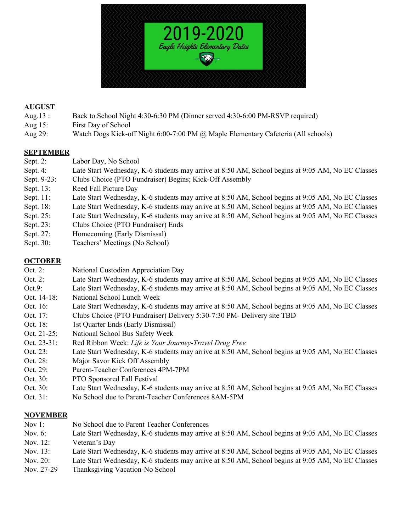

#### **AUGUST**

- Aug.13 : Back to School Night 4:30-6:30 PM (Dinner served 4:30-6:00 PM-RSVP required)
- Aug 15: First Day of School
- Aug 29: Watch Dogs Kick-off Night 6:00-7:00 PM @ Maple Elementary Cafeteria (All schools)

#### **SEPTEMBER**

- Sept. 2: Labor Day, No School
- Sept. 4: Late Start Wednesday, K-6 students may arrive at 8:50 AM, School begins at 9:05 AM, No EC Classes
- Sept. 9-23: Clubs Choice (PTO Fundraiser) Begins; Kick-Off Assembly
- Sept. 13: Reed Fall Picture Day
- Sept. 11: Late Start Wednesday, K-6 students may arrive at 8:50 AM, School begins at 9:05 AM, No EC Classes
- Sept. 18: Late Start Wednesday, K-6 students may arrive at 8:50 AM, School begins at 9:05 AM, No EC Classes
- Sept. 25: Late Start Wednesday, K-6 students may arrive at 8:50 AM, School begins at 9:05 AM, No EC Classes
- Sept. 23: Clubs Choice (PTO Fundraiser) Ends
- Sept. 27: Homecoming (Early Dismissal)
- Sept. 30: Teachers' Meetings (No School)

### **OCTOBER**

- Oct. 2: National Custodian Appreciation Day
- Oct. 2: Late Start Wednesday, K-6 students may arrive at 8:50 AM, School begins at 9:05 AM, No EC Classes
- Oct.9: Late Start Wednesday, K-6 students may arrive at 8:50 AM, School begins at 9:05 AM, No EC Classes
- Oct. 14-18: National School Lunch Week
- Oct. 16: Late Start Wednesday, K-6 students may arrive at 8:50 AM, School begins at 9:05 AM, No EC Classes
- Oct. 17: Clubs Choice (PTO Fundraiser) Delivery 5:30-7:30 PM- Delivery site TBD
- Oct. 18: 1st Quarter Ends (Early Dismissal)
- Oct. 21-25: National School Bus Safety Week
- Oct. 23-31: Red Ribbon Week: *Life is Your Journey-Travel Drug Free*
- Oct. 23: Late Start Wednesday, K-6 students may arrive at 8:50 AM, School begins at 9:05 AM, No EC Classes
- Oct. 28: Major Savor Kick Off Assembly
- Oct. 29: Parent-Teacher Conferences 4PM-7PM
- Oct. 30: PTO Sponsored Fall Festival
- Oct. 30: Late Start Wednesday, K-6 students may arrive at 8:50 AM, School begins at 9:05 AM, No EC Classes
- Oct. 31: No School due to Parent-Teacher Conferences 8AM-5PM

# **NOVEMBER**

- Nov 1: No School due to Parent Teacher Conferences
- Nov. 6: Late Start Wednesday, K-6 students may arrive at 8:50 AM, School begins at 9:05 AM, No EC Classes Nov. 12: Veteran's Day
- Nov. 13: Late Start Wednesday, K-6 students may arrive at 8:50 AM, School begins at 9:05 AM, No EC Classes
- Nov. 20: Late Start Wednesday, K-6 students may arrive at 8:50 AM, School begins at 9:05 AM, No EC Classes
- Nov. 27-29 Thanksgiving Vacation-No School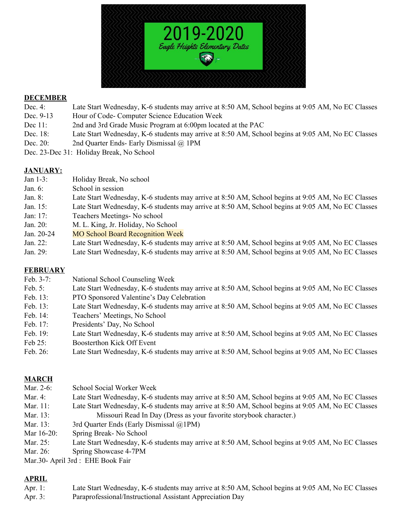

#### **DECEMBER**

- Dec. 4: Late Start Wednesday, K-6 students may arrive at 8:50 AM, School begins at 9:05 AM, No EC Classes
- Dec. 9-13 Hour of Code- Computer Science Education Week
- Dec 11: 2nd and 3rd Grade Music Program at 6:00pm located at the PAC
- Dec. 18: Late Start Wednesday, K-6 students may arrive at 8:50 AM, School begins at 9:05 AM, No EC Classes
- Dec. 20: 2nd Quarter Ends- Early Dismissal @ 1PM
- Dec. 23-Dec 31: Holiday Break, No School

## **JANUARY:**

- Jan 1-3: Holiday Break, No school
- Jan. 6: School in session
- Jan. 8: Late Start Wednesday, K-6 students may arrive at 8:50 AM, School begins at 9:05 AM, No EC Classes
- Jan. 15: Late Start Wednesday, K-6 students may arrive at 8:50 AM, School begins at 9:05 AM, No EC Classes
- Jan: 17: Teachers Meetings- No school
- Jan. 20: M. L. King, Jr. Holiday, No School
- Jan. 20-24 MO School Board Recognition Week
- Jan. 22: Late Start Wednesday, K-6 students may arrive at 8:50 AM, School begins at 9:05 AM, No EC Classes
- Jan. 29: Late Start Wednesday, K-6 students may arrive at 8:50 AM, School begins at 9:05 AM, No EC Classes

### **FEBRUARY**

- Feb. 3-7: National School Counseling Week
- Feb. 5: Late Start Wednesday, K-6 students may arrive at 8:50 AM, School begins at 9:05 AM, No EC Classes
- Feb. 13: PTO Sponsored Valentine's Day Celebration
- Feb. 13: Late Start Wednesday, K-6 students may arrive at 8:50 AM, School begins at 9:05 AM, No EC Classes
- Feb. 14: Teachers' Meetings, No School
- Feb. 17: Presidents' Day, No School
- Feb. 19: Late Start Wednesday, K-6 students may arrive at 8:50 AM, School begins at 9:05 AM, No EC Classes
- Feb 25: Boosterthon Kick Off Event
- Feb. 26: Late Start Wednesday, K-6 students may arrive at 8:50 AM, School begins at 9:05 AM, No EC Classes

# **MARCH**

- Mar. 2-6: School Social Worker Week
- Mar. 4: Late Start Wednesday, K-6 students may arrive at 8:50 AM, School begins at 9:05 AM, No EC Classes Mar. 11: Late Start Wednesday, K-6 students may arrive at 8:50 AM, School begins at 9:05 AM, No EC Classes
- Mar. 13: Missouri Read In Day (Dress as your favorite storybook character.)
- Mar. 13: 3rd Quarter Ends (Early Dismissal @1PM)
- Mar 16-20: Spring Break- No School
- Mar. 25: Late Start Wednesday, K-6 students may arrive at 8:50 AM, School begins at 9:05 AM, No EC Classes
- Mar. 26: Spring Showcase 4-7PM
- Mar.30- April 3rd : EHE Book Fair

# **APRIL**

- Apr. 1: Late Start Wednesday, K-6 students may arrive at 8:50 AM, School begins at 9:05 AM, No EC Classes
- Apr. 3: Paraprofessional/Instructional Assistant Appreciation Day